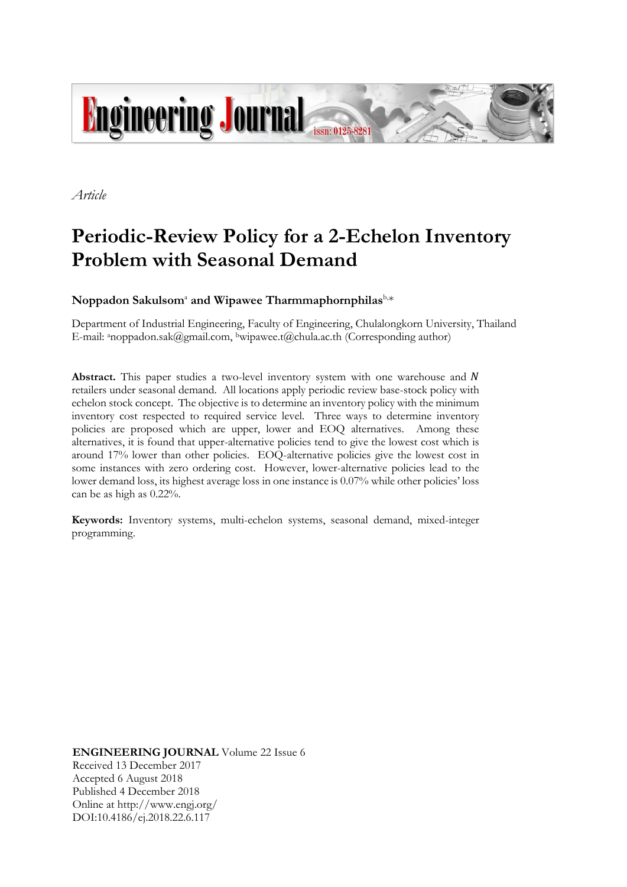

*Article*

# **Periodic-Review Policy for a 2-Echelon Inventory Problem with Seasonal Demand**

 $\mathbf{N}$ oppadon  $\mathbf{S}$ akulsom $\mathrm{a}$  and  $\mathbf{W}$ ipawee Tharmmaphornphilas $\mathrm{b}$ , $\mathrm{*}$ 

Department of Industrial Engineering, Faculty of Engineering, Chulalongkorn University, Thailand E-mail: <sup>a</sup>noppadon.sak@gmail.com, bwipawee.t@chula.ac.th (Corresponding author)

**Abstract.** This paper studies a two-level inventory system with one warehouse and N retailers under seasonal demand. All locations apply periodic review base-stock policy with echelon stock concept. The objective is to determine an inventory policy with the minimum inventory cost respected to required service level. Three ways to determine inventory policies are proposed which are upper, lower and EOQ alternatives. Among these alternatives, it is found that upper-alternative policies tend to give the lowest cost which is around 17% lower than other policies. EOQ-alternative policies give the lowest cost in some instances with zero ordering cost. However, lower-alternative policies lead to the lower demand loss, its highest average loss in one instance is 0.07% while other policies' loss can be as high as 0.22%.

**Keywords:** Inventory systems, multi-echelon systems, seasonal demand, mixed-integer programming.

**ENGINEERING JOURNAL** Volume 22 Issue 6 Received 13 December 2017 Accepted 6 August 2018 Published 4 December 2018 Online at http://www.engj.org/ DOI:10.4186/ej.2018.22.6.117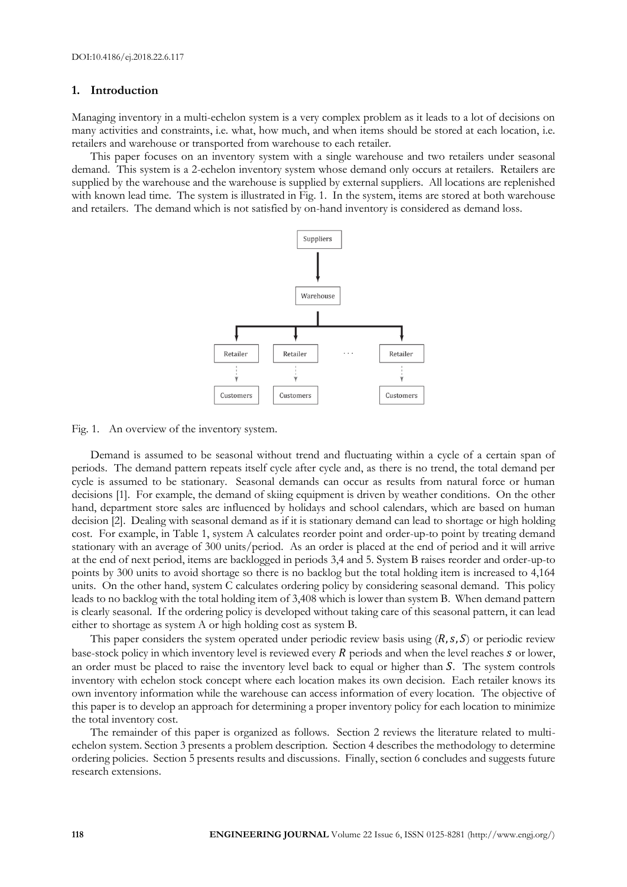# **1. Introduction**

Managing inventory in a multi-echelon system is a very complex problem as it leads to a lot of decisions on many activities and constraints, i.e. what, how much, and when items should be stored at each location, i.e. retailers and warehouse or transported from warehouse to each retailer.

This paper focuses on an inventory system with a single warehouse and two retailers under seasonal demand. This system is a 2-echelon inventory system whose demand only occurs at retailers. Retailers are supplied by the warehouse and the warehouse is supplied by external suppliers. All locations are replenished with known lead time. The system is illustrated in Fig. 1. In the system, items are stored at both warehouse and retailers. The demand which is not satisfied by on-hand inventory is considered as demand loss.



Fig. 1. An overview of the inventory system.

Demand is assumed to be seasonal without trend and fluctuating within a cycle of a certain span of periods. The demand pattern repeats itself cycle after cycle and, as there is no trend, the total demand per cycle is assumed to be stationary. Seasonal demands can occur as results from natural force or human decisions [1]. For example, the demand of skiing equipment is driven by weather conditions. On the other hand, department store sales are influenced by holidays and school calendars, which are based on human decision [2]. Dealing with seasonal demand as if it is stationary demand can lead to shortage or high holding cost. For example, in Table 1, system A calculates reorder point and order-up-to point by treating demand stationary with an average of 300 units/period. As an order is placed at the end of period and it will arrive at the end of next period, items are backlogged in periods 3,4 and 5. System B raises reorder and order-up-to points by 300 units to avoid shortage so there is no backlog but the total holding item is increased to 4,164 units. On the other hand, system C calculates ordering policy by considering seasonal demand. This policy leads to no backlog with the total holding item of 3,408 which is lower than system B. When demand pattern is clearly seasonal. If the ordering policy is developed without taking care of this seasonal pattern, it can lead either to shortage as system A or high holding cost as system B.

This paper considers the system operated under periodic review basis using  $(R, s, S)$  or periodic review base-stock policy in which inventory level is reviewed every  $R$  periods and when the level reaches  $S$  or lower, an order must be placed to raise the inventory level back to equal or higher than S. The system controls inventory with echelon stock concept where each location makes its own decision. Each retailer knows its own inventory information while the warehouse can access information of every location. The objective of this paper is to develop an approach for determining a proper inventory policy for each location to minimize the total inventory cost.

The remainder of this paper is organized as follows. Section 2 reviews the literature related to multiechelon system. Section 3 presents a problem description. Section 4 describes the methodology to determine ordering policies. Section 5 presents results and discussions. Finally, section 6 concludes and suggests future research extensions.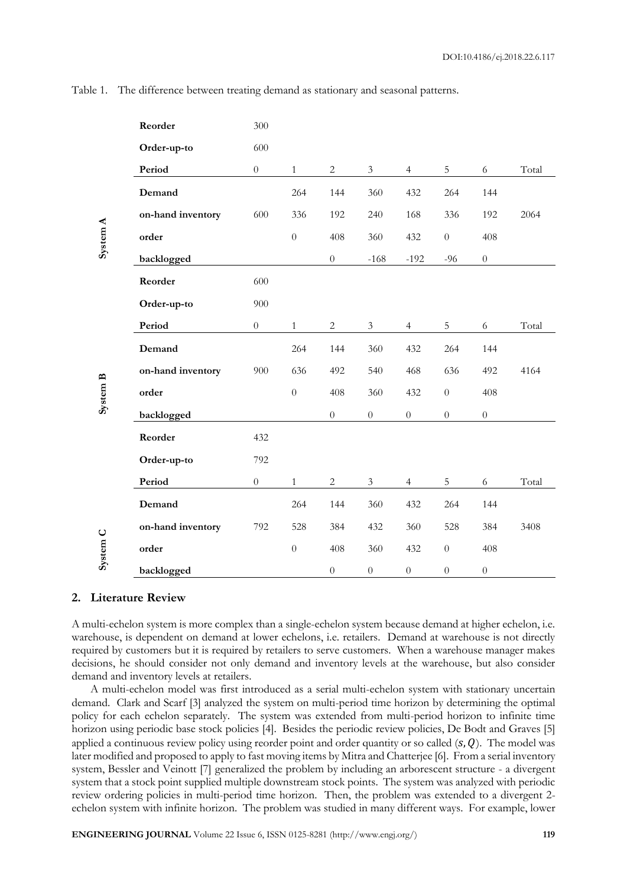|                                  | Reorder                                                                                                                                                                                                                                                                                                                                                                                                                                                                                                                                                                                                                                                                                                                                                                                                                                                                                                                                                         | 300                                                                                                  |              |            |                |                |             |     |       |
|----------------------------------|-----------------------------------------------------------------------------------------------------------------------------------------------------------------------------------------------------------------------------------------------------------------------------------------------------------------------------------------------------------------------------------------------------------------------------------------------------------------------------------------------------------------------------------------------------------------------------------------------------------------------------------------------------------------------------------------------------------------------------------------------------------------------------------------------------------------------------------------------------------------------------------------------------------------------------------------------------------------|------------------------------------------------------------------------------------------------------|--------------|------------|----------------|----------------|-------------|-----|-------|
|                                  | Order-up-to                                                                                                                                                                                                                                                                                                                                                                                                                                                                                                                                                                                                                                                                                                                                                                                                                                                                                                                                                     | 600                                                                                                  |              |            |                |                |             |     |       |
|                                  | Period                                                                                                                                                                                                                                                                                                                                                                                                                                                                                                                                                                                                                                                                                                                                                                                                                                                                                                                                                          | $\boldsymbol{0}$                                                                                     | $\mathbf{1}$ | $\sqrt{2}$ | $\mathfrak{Z}$ | $\overline{4}$ | $\mathbf 5$ | 6   | Total |
|                                  | Demand                                                                                                                                                                                                                                                                                                                                                                                                                                                                                                                                                                                                                                                                                                                                                                                                                                                                                                                                                          |                                                                                                      | 264          | 144        | 360            | 432            | 264         | 144 |       |
|                                  | on-hand inventory                                                                                                                                                                                                                                                                                                                                                                                                                                                                                                                                                                                                                                                                                                                                                                                                                                                                                                                                               | 600                                                                                                  | 336          | 192        | 240            | 168            | 336         | 192 | 2064  |
|                                  | order<br>$\boldsymbol{0}$<br>408<br>360<br>432<br>$\boldsymbol{0}$<br>backlogged<br>$\boldsymbol{0}$<br>$-168$<br>$-192$<br>$-96$<br>Reorder<br>600<br>Order-up-to<br>900<br>Period<br>$\overline{5}$<br>$\boldsymbol{0}$<br>$\sqrt{2}$<br>$\mathfrak{Z}$<br>$\mathbf{1}$<br>$\overline{4}$<br>264<br>360<br>264<br>Demand<br>144<br>432<br>on-hand inventory<br>900<br>636<br>492<br>540<br>468<br>636<br>$\overline{0}$<br>order<br>408<br>360<br>432<br>$\boldsymbol{0}$<br>backlogged<br>$\overline{0}$<br>$\overline{0}$<br>$\boldsymbol{0}$<br>$\boldsymbol{0}$<br>Reorder<br>432<br>Order-up-to<br>792<br>Period<br>$\theta$<br>$\mathbf{1}$<br>2<br>$\mathfrak{Z}$<br>$\overline{4}$<br>5<br>Demand<br>264<br>432<br>144<br>360<br>264<br>on-hand inventory<br>792<br>528<br>384<br>432<br>360<br>528<br>order<br>$\theta$<br>408<br>360<br>432<br>$\theta$<br>$\boldsymbol{0}$<br>$\overline{0}$<br>backlogged<br>$\boldsymbol{0}$<br>$\boldsymbol{0}$ | 408                                                                                                  |              |            |                |                |             |     |       |
|                                  |                                                                                                                                                                                                                                                                                                                                                                                                                                                                                                                                                                                                                                                                                                                                                                                                                                                                                                                                                                 | $\theta$<br>6<br>144<br>492<br>408<br>$\boldsymbol{0}$<br>6<br>144<br>384<br>408<br>$\boldsymbol{0}$ |              |            |                |                |             |     |       |
|                                  |                                                                                                                                                                                                                                                                                                                                                                                                                                                                                                                                                                                                                                                                                                                                                                                                                                                                                                                                                                 |                                                                                                      |              |            |                |                |             |     |       |
|                                  |                                                                                                                                                                                                                                                                                                                                                                                                                                                                                                                                                                                                                                                                                                                                                                                                                                                                                                                                                                 |                                                                                                      |              |            |                |                |             |     |       |
|                                  |                                                                                                                                                                                                                                                                                                                                                                                                                                                                                                                                                                                                                                                                                                                                                                                                                                                                                                                                                                 |                                                                                                      |              |            |                |                |             |     | Total |
| System A<br>System B<br>System C |                                                                                                                                                                                                                                                                                                                                                                                                                                                                                                                                                                                                                                                                                                                                                                                                                                                                                                                                                                 |                                                                                                      |              |            |                |                |             |     |       |
|                                  |                                                                                                                                                                                                                                                                                                                                                                                                                                                                                                                                                                                                                                                                                                                                                                                                                                                                                                                                                                 |                                                                                                      | 4164         |            |                |                |             |     |       |
|                                  |                                                                                                                                                                                                                                                                                                                                                                                                                                                                                                                                                                                                                                                                                                                                                                                                                                                                                                                                                                 |                                                                                                      |              |            |                |                |             |     |       |
|                                  |                                                                                                                                                                                                                                                                                                                                                                                                                                                                                                                                                                                                                                                                                                                                                                                                                                                                                                                                                                 |                                                                                                      |              |            |                |                |             |     |       |
|                                  |                                                                                                                                                                                                                                                                                                                                                                                                                                                                                                                                                                                                                                                                                                                                                                                                                                                                                                                                                                 |                                                                                                      |              |            |                |                |             |     |       |
|                                  |                                                                                                                                                                                                                                                                                                                                                                                                                                                                                                                                                                                                                                                                                                                                                                                                                                                                                                                                                                 |                                                                                                      |              |            |                |                |             |     |       |
|                                  |                                                                                                                                                                                                                                                                                                                                                                                                                                                                                                                                                                                                                                                                                                                                                                                                                                                                                                                                                                 |                                                                                                      |              |            |                |                |             |     | Total |
|                                  |                                                                                                                                                                                                                                                                                                                                                                                                                                                                                                                                                                                                                                                                                                                                                                                                                                                                                                                                                                 |                                                                                                      |              |            |                |                |             |     |       |
|                                  |                                                                                                                                                                                                                                                                                                                                                                                                                                                                                                                                                                                                                                                                                                                                                                                                                                                                                                                                                                 |                                                                                                      |              |            |                |                |             |     | 3408  |
|                                  |                                                                                                                                                                                                                                                                                                                                                                                                                                                                                                                                                                                                                                                                                                                                                                                                                                                                                                                                                                 |                                                                                                      |              |            |                |                |             |     |       |
|                                  |                                                                                                                                                                                                                                                                                                                                                                                                                                                                                                                                                                                                                                                                                                                                                                                                                                                                                                                                                                 |                                                                                                      |              |            |                |                |             |     |       |

Table 1. The difference between treating demand as stationary and seasonal patterns.

# **2. Literature Review**

A multi-echelon system is more complex than a single-echelon system because demand at higher echelon, i.e. warehouse, is dependent on demand at lower echelons, i.e. retailers. Demand at warehouse is not directly required by customers but it is required by retailers to serve customers. When a warehouse manager makes decisions, he should consider not only demand and inventory levels at the warehouse, but also consider demand and inventory levels at retailers.

A multi-echelon model was first introduced as a serial multi-echelon system with stationary uncertain demand. Clark and Scarf [3] analyzed the system on multi-period time horizon by determining the optimal policy for each echelon separately. The system was extended from multi-period horizon to infinite time horizon using periodic base stock policies [4]. Besides the periodic review policies, De Bodt and Graves [5] applied a continuous review policy using reorder point and order quantity or so called  $(s, Q)$ . The model was later modified and proposed to apply to fast moving items by Mitra and Chatterjee [6]. From a serial inventory system, Bessler and Veinott [7] generalized the problem by including an arborescent structure - a divergent system that a stock point supplied multiple downstream stock points. The system was analyzed with periodic review ordering policies in multi-period time horizon. Then, the problem was extended to a divergent 2 echelon system with infinite horizon. The problem was studied in many different ways. For example, lower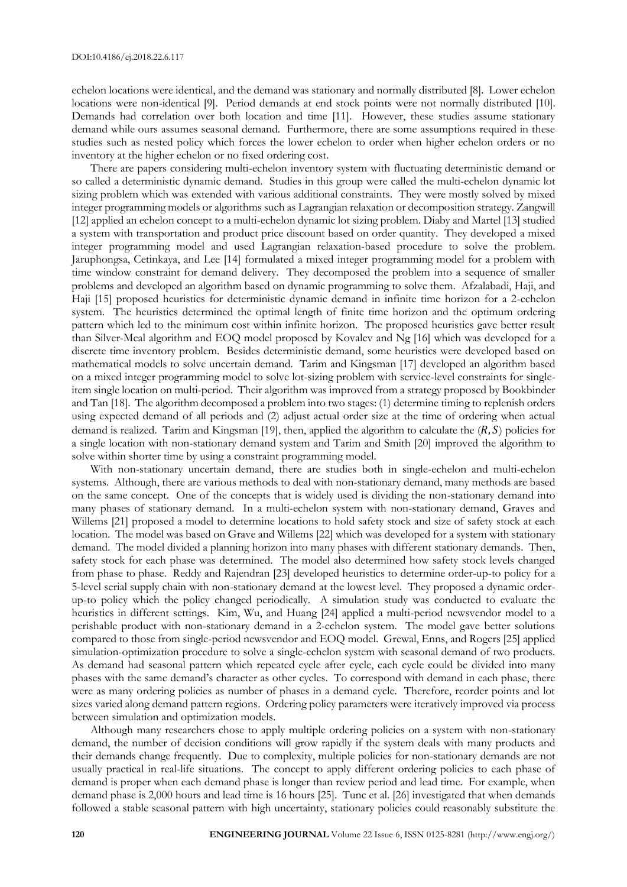echelon locations were identical, and the demand was stationary and normally distributed [8]. Lower echelon locations were non-identical [9]. Period demands at end stock points were not normally distributed [10]. Demands had correlation over both location and time [11]. However, these studies assume stationary demand while ours assumes seasonal demand. Furthermore, there are some assumptions required in these studies such as nested policy which forces the lower echelon to order when higher echelon orders or no inventory at the higher echelon or no fixed ordering cost.

There are papers considering multi-echelon inventory system with fluctuating deterministic demand or so called a deterministic dynamic demand. Studies in this group were called the multi-echelon dynamic lot sizing problem which was extended with various additional constraints. They were mostly solved by mixed integer programming models or algorithms such as Lagrangian relaxation or decomposition strategy. Zangwill [12] applied an echelon concept to a multi-echelon dynamic lot sizing problem. Diaby and Martel [13] studied a system with transportation and product price discount based on order quantity. They developed a mixed integer programming model and used Lagrangian relaxation-based procedure to solve the problem. Jaruphongsa, Cetinkaya, and Lee [14] formulated a mixed integer programming model for a problem with time window constraint for demand delivery. They decomposed the problem into a sequence of smaller problems and developed an algorithm based on dynamic programming to solve them. Afzalabadi, Haji, and Haji [15] proposed heuristics for deterministic dynamic demand in infinite time horizon for a 2-echelon system. The heuristics determined the optimal length of finite time horizon and the optimum ordering pattern which led to the minimum cost within infinite horizon. The proposed heuristics gave better result than Silver-Meal algorithm and EOQ model proposed by Kovalev and Ng [16] which was developed for a discrete time inventory problem. Besides deterministic demand, some heuristics were developed based on mathematical models to solve uncertain demand. Tarim and Kingsman [17] developed an algorithm based on a mixed integer programming model to solve lot-sizing problem with service-level constraints for singleitem single location on multi-period. Their algorithm was improved from a strategy proposed by Bookbinder and Tan [18]. The algorithm decomposed a problem into two stages: (1) determine timing to replenish orders using expected demand of all periods and (2) adjust actual order size at the time of ordering when actual demand is realized. Tarim and Kingsman [19], then, applied the algorithm to calculate the  $(R, S)$  policies for a single location with non-stationary demand system and Tarim and Smith [20] improved the algorithm to solve within shorter time by using a constraint programming model.

With non-stationary uncertain demand, there are studies both in single-echelon and multi-echelon systems. Although, there are various methods to deal with non-stationary demand, many methods are based on the same concept. One of the concepts that is widely used is dividing the non-stationary demand into many phases of stationary demand. In a multi-echelon system with non-stationary demand, Graves and Willems [21] proposed a model to determine locations to hold safety stock and size of safety stock at each location. The model was based on Grave and Willems [22] which was developed for a system with stationary demand. The model divided a planning horizon into many phases with different stationary demands. Then, safety stock for each phase was determined. The model also determined how safety stock levels changed from phase to phase. Reddy and Rajendran [23] developed heuristics to determine order-up-to policy for a 5-level serial supply chain with non-stationary demand at the lowest level. They proposed a dynamic orderup-to policy which the policy changed periodically. A simulation study was conducted to evaluate the heuristics in different settings. Kim, Wu, and Huang [24] applied a multi-period newsvendor model to a perishable product with non-stationary demand in a 2-echelon system. The model gave better solutions compared to those from single-period newsvendor and EOQ model. Grewal, Enns, and Rogers [25] applied simulation-optimization procedure to solve a single-echelon system with seasonal demand of two products. As demand had seasonal pattern which repeated cycle after cycle, each cycle could be divided into many phases with the same demand's character as other cycles. To correspond with demand in each phase, there were as many ordering policies as number of phases in a demand cycle. Therefore, reorder points and lot sizes varied along demand pattern regions. Ordering policy parameters were iteratively improved via process between simulation and optimization models.

Although many researchers chose to apply multiple ordering policies on a system with non-stationary demand, the number of decision conditions will grow rapidly if the system deals with many products and their demands change frequently. Due to complexity, multiple policies for non-stationary demands are not usually practical in real-life situations. The concept to apply different ordering policies to each phase of demand is proper when each demand phase is longer than review period and lead time. For example, when demand phase is 2,000 hours and lead time is 16 hours [25]. Tunc et al. [26] investigated that when demands followed a stable seasonal pattern with high uncertainty, stationary policies could reasonably substitute the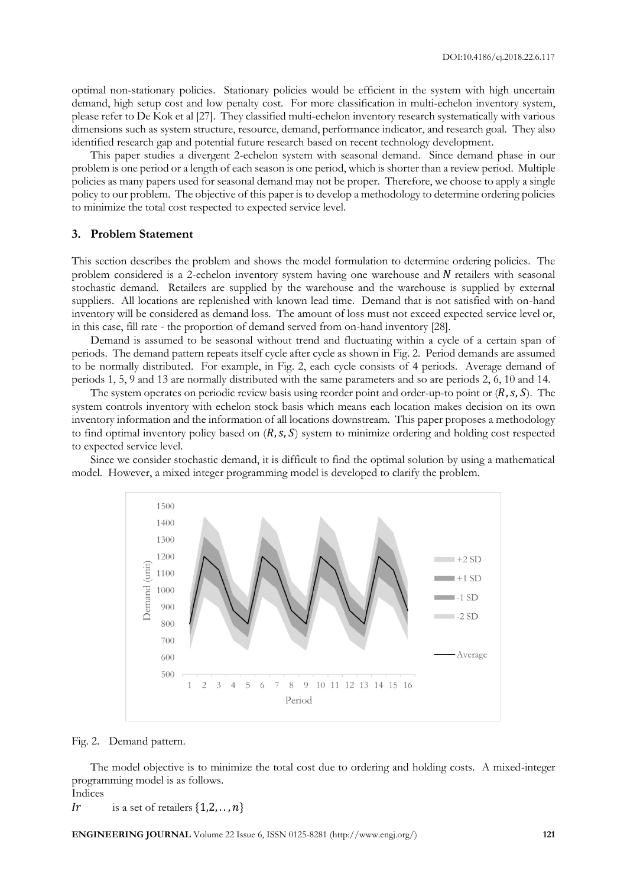optimal non-stationary policies. Stationary policies would be efficient in the system with high uncertain demand, high setup cost and low penalty cost. For more classification in multi-echelon inventory system, please refer to De Kok et al [27]. They classified multi-echelon inventory research systematically with various dimensions such as system structure, resource, demand, performance indicator, and research goal. They also identified research gap and potential future research based on recent technology development.

This paper studies a divergent 2-echelon system with seasonal demand. Since demand phase in our problem is one period or a length of each season is one period, which is shorter than a review period. Multiple policies as many papers used for seasonal demand may not be proper. Therefore, we choose to apply a single policy to our problem. The objective of this paper is to develop a methodology to determine ordering policies to minimize the total cost respected to expected service level.

# **3. Problem Statement**

This section describes the problem and shows the model formulation to determine ordering policies. The problem considered is a 2-echelon inventory system having one warehouse and  $N$  retailers with seasonal stochastic demand. Retailers are supplied by the warehouse and the warehouse is supplied by external suppliers. All locations are replenished with known lead time. Demand that is not satisfied with on-hand inventory will be considered as demand loss. The amount of loss must not exceed expected service level or, in this case, fill rate - the proportion of demand served from on-hand inventory [28].

Demand is assumed to be seasonal without trend and fluctuating within a cycle of a certain span of periods. The demand pattern repeats itself cycle after cycle as shown in Fig. 2. Period demands are assumed to be normally distributed. For example, in Fig. 2, each cycle consists of 4 periods. Average demand of periods 1, 5, 9 and 13 are normally distributed with the same parameters and so are periods 2, 6, 10 and 14.

The system operates on periodic review basis using reorder point and order-up-to point or  $(R, s, S)$ . The system controls inventory with echelon stock basis which means each location makes decision on its own inventory information and the information of all locations downstream. This paper proposes a methodology to find optimal inventory policy based on  $(R, s, S)$  system to minimize ordering and holding cost respected to expected service level.

Since we consider stochastic demand, it is difficult to find the optimal solution by using a mathematical model. However, a mixed integer programming model is developed to clarify the problem.



Fig. 2. Demand pattern.

The model objective is to minimize the total cost due to ordering and holding costs. A mixed-integer programming model is as follows. Indices

Ir is a set of retailers  $\{1,2,\ldots,n\}$ 

**ENGINEERING JOURNAL** Volume 22 Issue 6, ISSN 0125-8281 (http://www.engj.org/) **121**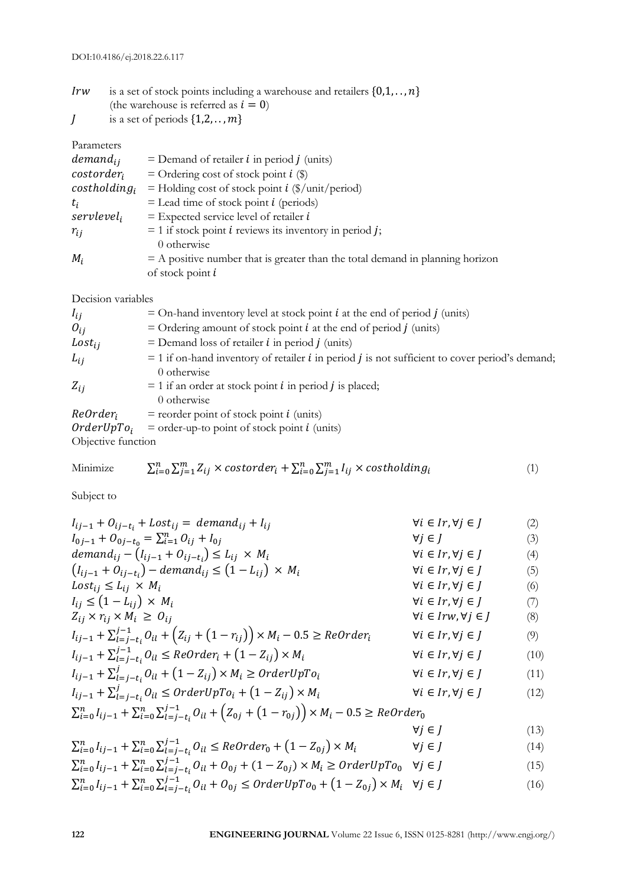| Irw | is a set of stock points including a warehouse and retailers $\{0,1,\ldots,n\}$ |
|-----|---------------------------------------------------------------------------------|
|     | (the warehouse is referred as $i = 0$ )                                         |

 $J$  is a set of periods  $\{1,2,\ldots,m\}$ 

# Parameters

| $demand_{ij}$          | $=$ Demand of retailer <i>i</i> in period <i>j</i> (units)                      |
|------------------------|---------------------------------------------------------------------------------|
| $\emph{costerder}_i$   | = Ordering cost of stock point $i$ (\$)                                         |
| $costholding_i$        | = Holding cost of stock point $i$ (\$/unit/period)                              |
| $t_i$                  | $=$ Lead time of stock point <i>i</i> (periods)                                 |
| servlevel <sub>i</sub> | $=$ Expected service level of retailer $i$                                      |
| $r_{ii}$               | $= 1$ if stock point <i>i</i> reviews its inventory in period <i>j</i> ;        |
|                        | 0 otherwise                                                                     |
| $M_i$                  | $=$ A positive number that is greater than the total demand in planning horizon |
|                        | of stock point $i$                                                              |

Decision variables

| $I_{ij}$      | $=$ On-hand inventory level at stock point <i>i</i> at the end of period <i>j</i> (units)                      |
|---------------|----------------------------------------------------------------------------------------------------------------|
| $O_{ij}$      | = Ordering amount of stock point $i$ at the end of period $j$ (units)                                          |
| $Loss_{ij}$   | $=$ Demand loss of retailer <i>i</i> in period <i>j</i> (units)                                                |
| $L_{ij}$      | $=$ 1 if on-hand inventory of retailer <i>i</i> in period <i>j</i> is not sufficient to cover period's demand; |
|               | 0 otherwise                                                                                                    |
| $Z_{ii}$      | $= 1$ if an order at stock point <i>i</i> in period <i>j</i> is placed;                                        |
|               | 0 otherwise                                                                                                    |
| $ReOrder_i$   | $=$ reorder point of stock point <i>i</i> (units)                                                              |
| $OrderUpTo_i$ | $=$ order-up-to point of stock point <i>i</i> (units)                                                          |

Objective function

Minimize  $\sum_{i=0}^n\sum_{j=1}^m Z_{ij} \times \text{costorder}_i + \sum_{i=0}^n\sum_{j=1}^m I_{ij} \times \text{costholding}_i$ (1)

Subject to

| $I_{ij-1} + O_{ij-t_i} + Lost_{ij} = demand_{ij} + I_{ij}$                                                                     | $\forall i \in Ir, \forall j \in J$  | (2)  |
|--------------------------------------------------------------------------------------------------------------------------------|--------------------------------------|------|
| $I_{0j-1} + O_{0j-t_0} = \sum_{i=1}^n O_{ij} + I_{0j}$                                                                         | $\forall j \in J$                    | (3)  |
| demand <sub>ij</sub> – $(I_{ij-1} + O_{ij-t_i}) \le L_{ij} \times M_i$                                                         | $\forall i \in Ir, \forall j \in J$  | (4)  |
| $(l_{ij-1} + O_{ij-t_i}) - demand_{ij} \leq (1 - L_{ij}) \times M_i$                                                           | $\forall i \in Ir, \forall j \in J$  | (5)  |
| $Loss_{ii} \leq L_{ii} \times M_i$                                                                                             | $\forall i \in Ir, \forall j \in J$  | (6)  |
| $I_{ij} \leq (1 - L_{ij}) \times M_i$                                                                                          | $\forall i \in Ir, \forall j \in J$  | (7)  |
| $Z_{ij} \times r_{ij} \times M_i \geq O_{ij}$                                                                                  | $\forall i \in Irw, \forall j \in I$ | (8)  |
| $I_{ij-1} + \sum_{l=j-t_i}^{j-1} O_{il} + (Z_{ij} + (1-r_{ij})) \times M_i - 0.5 \geq ReOrder_i$                               | $\forall i \in Ir, \forall j \in J$  | (9)  |
| $I_{ij-1} + \sum_{l=j-t_i}^{j-1} 0_{il} \leq ReOrder_i + (1 - Z_{ij}) \times M_i$                                              | $\forall i \in Ir, \forall j \in J$  | (10) |
| $I_{ij-1} + \sum_{l=j-t_i}^{j} O_{il} + (1 - Z_{ij}) \times M_i \geq OrderUpTo_i$                                              | $\forall i \in Ir, \forall j \in I$  | (11) |
| $I_{ij-1} + \sum_{l=i-t_i}^{j} 0_{il} \leq OrderUpTo_i + (1 - Z_{ij}) \times M_i$                                              | $\forall i \in Ir, \forall j \in J$  | (12) |
| $\sum_{i=0}^{n} I_{ij-1} + \sum_{i=0}^{n} \sum_{l=j-t_i}^{j-1} O_{il} + (Z_{0j} + (1-r_{0j})) \times M_i - 0.5 \geq ReOrder_0$ |                                      |      |
|                                                                                                                                | $\forall j \in I$                    | (13) |

$$
\sum_{i=0}^{n} I_{ij-1} + \sum_{i=0}^{n} \sum_{l=j-t_i}^{j-1} O_{il} \le ReOrder_0 + (1 - Z_{0j}) \times M_i \qquad \forall j \in J
$$
\n
$$
\sum_{i=0}^{n} I_{ij} + \sum_{i=0}^{n} \sum_{j=1}^{j-1} O_{il} + O_{il} + (1 - Z_{0j}) \times M \ge 0 \quad \text{and} \quad \forall j \in J
$$
\n
$$
(14)
$$

$$
\sum_{i=0}^{n} I_{ij-1} + \sum_{i=0}^{n} \sum_{l=j-t_i}^{j-1} O_{il} + O_{0j} + (1 - Z_{0j}) \times M_i \geq OrderUpTo_0 \quad \forall j \in J
$$
\n
$$
\sum_{i=0}^{n} I_{ij-1} + \sum_{i=0}^{n} \sum_{j=1}^{j-1} O_{il} + O_{0j} \leq CardovU\n\sum_{i=0}^{n} I_{ij} + (1 - Z_{0j}) \times M_i \quad \forall i \in I
$$
\n
$$
(10)
$$

$$
\sum_{i=0}^{n} I_{ij-1} + \sum_{i=0}^{n} \sum_{l=j-t_i}^{j-1} O_{il} + O_{0j} \leq OrderUpTo_0 + (1 - Z_{0j}) \times M_i \quad \forall j \in J
$$
\n<sup>(16)</sup>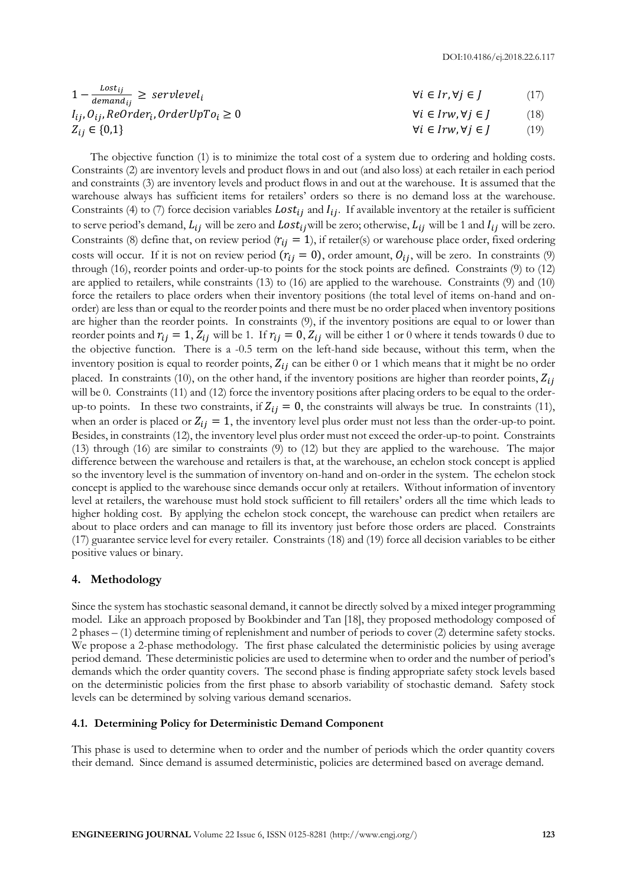$$
1 - \frac{lost_{ij}}{demandi_{ij}} \geq \text{servicevel}_{i} \qquad \qquad \forall i \in Ir, \forall j \in J \qquad (17)
$$

$$
I_{ij}, O_{ij}, ReOrder_i, OrderUpTo_i \ge 0
$$
\n
$$
\forall i \in Irw, \forall j \in J \tag{18}
$$

 $Z_{ij} \in \{0,1\}$  (19)

The objective function (1) is to minimize the total cost of a system due to ordering and holding costs. Constraints (2) are inventory levels and product flows in and out (and also loss) at each retailer in each period and constraints (3) are inventory levels and product flows in and out at the warehouse. It is assumed that the warehouse always has sufficient items for retailers' orders so there is no demand loss at the warehouse. Constraints (4) to (7) force decision variables  $Loss_{ij}$  and  $I_{ij}$ . If available inventory at the retailer is sufficient to serve period's demand,  $L_{ij}$  will be zero and  $Lost_{ij}$  will be zero; otherwise,  $L_{ij}$  will be 1 and  $I_{ij}$  will be zero. Constraints (8) define that, on review period ( $r_{ij} = 1$ ), if retailer(s) or warehouse place order, fixed ordering costs will occur. If it is not on review period  $(r_{ij} = 0)$ , order amount,  $O_{ij}$ , will be zero. In constraints (9) through (16), reorder points and order-up-to points for the stock points are defined. Constraints (9) to (12) are applied to retailers, while constraints (13) to (16) are applied to the warehouse. Constraints (9) and (10) force the retailers to place orders when their inventory positions (the total level of items on-hand and onorder) are less than or equal to the reorder points and there must be no order placed when inventory positions are higher than the reorder points. In constraints (9), if the inventory positions are equal to or lower than reorder points and  $r_{ij} = 1$ ,  $Z_{ij}$  will be 1. If  $r_{ij} = 0$ ,  $Z_{ij}$  will be either 1 or 0 where it tends towards 0 due to the objective function. There is a -0.5 term on the left-hand side because, without this term, when the inventory position is equal to reorder points,  $Z_{ij}$  can be either 0 or 1 which means that it might be no order placed. In constraints (10), on the other hand, if the inventory positions are higher than reorder points,  $Z_{ij}$ will be 0. Constraints (11) and (12) force the inventory positions after placing orders to be equal to the orderup-to points. In these two constraints, if  $Z_{ij} = 0$ , the constraints will always be true. In constraints (11), when an order is placed or  $Z_{ii} = 1$ , the inventory level plus order must not less than the order-up-to point. Besides, in constraints (12), the inventory level plus order must not exceed the order-up-to point. Constraints (13) through (16) are similar to constraints (9) to (12) but they are applied to the warehouse. The major difference between the warehouse and retailers is that, at the warehouse, an echelon stock concept is applied so the inventory level is the summation of inventory on-hand and on-order in the system. The echelon stock concept is applied to the warehouse since demands occur only at retailers. Without information of inventory level at retailers, the warehouse must hold stock sufficient to fill retailers' orders all the time which leads to higher holding cost. By applying the echelon stock concept, the warehouse can predict when retailers are about to place orders and can manage to fill its inventory just before those orders are placed. Constraints (17) guarantee service level for every retailer. Constraints (18) and (19) force all decision variables to be either positive values or binary.

# **4. Methodology**

Since the system has stochastic seasonal demand, it cannot be directly solved by a mixed integer programming model. Like an approach proposed by Bookbinder and Tan [18], they proposed methodology composed of 2 phases – (1) determine timing of replenishment and number of periods to cover (2) determine safety stocks. We propose a 2-phase methodology. The first phase calculated the deterministic policies by using average period demand. These deterministic policies are used to determine when to order and the number of period's demands which the order quantity covers. The second phase is finding appropriate safety stock levels based on the deterministic policies from the first phase to absorb variability of stochastic demand. Safety stock levels can be determined by solving various demand scenarios.

# **4.1. Determining Policy for Deterministic Demand Component**

This phase is used to determine when to order and the number of periods which the order quantity covers their demand. Since demand is assumed deterministic, policies are determined based on average demand.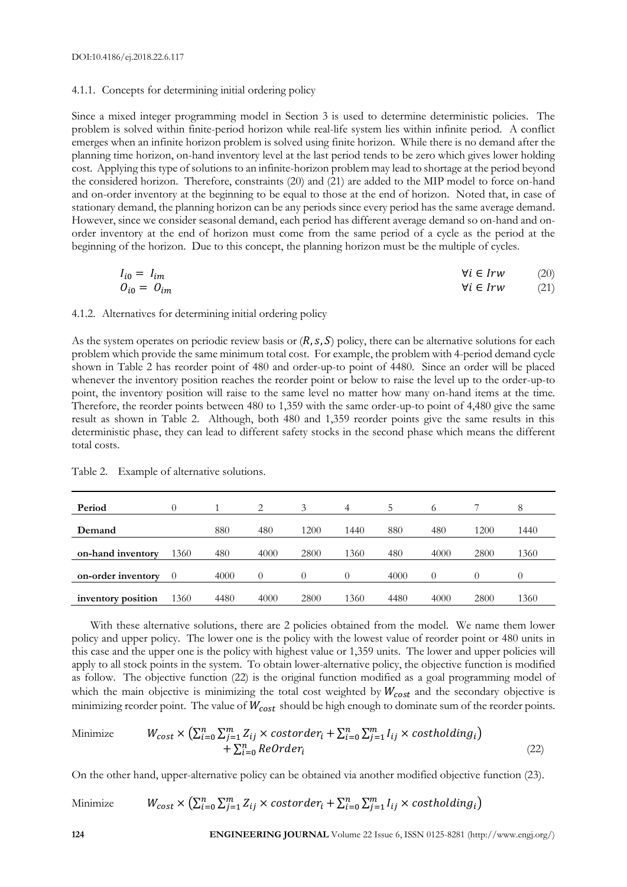#### 4.1.1. Concepts for determining initial ordering policy

Since a mixed integer programming model in Section 3 is used to determine deterministic policies. The problem is solved within finite-period horizon while real-life system lies within infinite period. A conflict emerges when an infinite horizon problem is solved using finite horizon. While there is no demand after the planning time horizon, on-hand inventory level at the last period tends to be zero which gives lower holding cost. Applying this type of solutions to an infinite-horizon problem may lead to shortage at the period beyond the considered horizon. Therefore, constraints (20) and (21) are added to the MIP model to force on-hand and on-order inventory at the beginning to be equal to those at the end of horizon. Noted that, in case of stationary demand, the planning horizon can be any periods since every period has the same average demand. However, since we consider seasonal demand, each period has different average demand so on-hand and onorder inventory at the end of horizon must come from the same period of a cycle as the period at the beginning of the horizon. Due to this concept, the planning horizon must be the multiple of cycles.

$$
I_{i0} = I_{im}
$$
\n
$$
O_{i0} = O_{im}
$$
\n
$$
\forall i \in Irw
$$
\n
$$
(20)
$$
\n
$$
\forall i \in Irw
$$
\n
$$
(21)
$$

#### 4.1.2. Alternatives for determining initial ordering policy

As the system operates on periodic review basis or  $(R, s, S)$  policy, there can be alternative solutions for each problem which provide the same minimum total cost. For example, the problem with 4-period demand cycle shown in Table 2 has reorder point of 480 and order-up-to point of 4480. Since an order will be placed whenever the inventory position reaches the reorder point or below to raise the level up to the order-up-to point, the inventory position will raise to the same level no matter how many on-hand items at the time. Therefore, the reorder points between 480 to 1,359 with the same order-up-to point of 4,480 give the same result as shown in Table 2. Although, both 480 and 1,359 reorder points give the same results in this deterministic phase, they can lead to different safety stocks in the second phase which means the different total costs.

| Period             |      |      | っ        | $\mathcal{Z}$ | 4                | $\mathcal{D}$ | $\Omega$          |      | 8    |
|--------------------|------|------|----------|---------------|------------------|---------------|-------------------|------|------|
| Demand             |      | 880  | 480      | 1200          | 1440             | 880           | 480               | 1200 | 1440 |
| on-hand inventory  | 1360 | 480  | 4000     | 2800          | 1360             | 480           | 4000              | 2800 | 1360 |
| on-order inventory |      | 4000 | $\theta$ |               | $\left( \right)$ | 4000          | $\mathbf{\Omega}$ |      |      |
| inventory position | 1360 | 4480 | 4000     | 2800          | 1360             | 4480          | 4000              | 2800 | 1360 |

Table 2. Example of alternative solutions.

With these alternative solutions, there are 2 policies obtained from the model. We name them lower policy and upper policy. The lower one is the policy with the lowest value of reorder point or 480 units in this case and the upper one is the policy with highest value or 1,359 units. The lower and upper policies will apply to all stock points in the system. To obtain lower-alternative policy, the objective function is modified as follow. The objective function (22) is the original function modified as a goal programming model of which the main objective is minimizing the total cost weighted by  $W_{cost}$  and the secondary objective is minimizing reorder point. The value of  $W_{cost}$  should be high enough to dominate sum of the reorder points.

Minimize 
$$
W_{cost} \times (\sum_{i=0}^{n} \sum_{j=1}^{m} Z_{ij} \times costorder_i + \sum_{i=0}^{n} \sum_{j=1}^{m} I_{ij} \times costholding_i)
$$
  
  $+ \sum_{i=0}^{n} ReOrder_i$  (22)

On the other hand, upper-alternative policy can be obtained via another modified objective function (23).

Minimize 
$$
W_{cost} \times (\sum_{i=0}^{n} \sum_{j=1}^{m} Z_{ij} \times costorder_i + \sum_{i=0}^{n} \sum_{j=1}^{m} I_{ij} \times costholding_i)
$$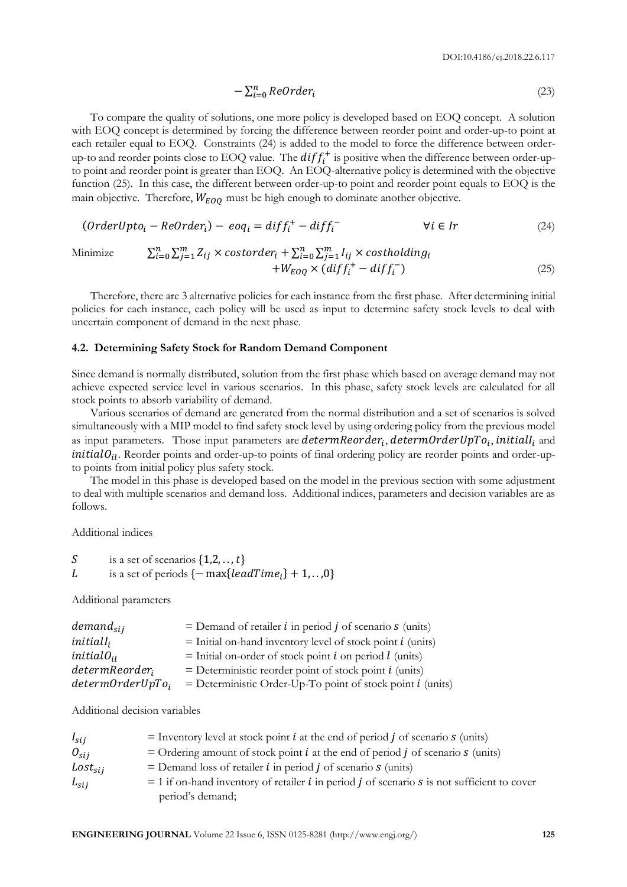$$
-\sum_{i=0}^{n} ReOrder_i \tag{23}
$$

To compare the quality of solutions, one more policy is developed based on EOQ concept. A solution with EOQ concept is determined by forcing the difference between reorder point and order-up-to point at each retailer equal to EOQ. Constraints (24) is added to the model to force the difference between orderup-to and reorder points close to EOQ value. The  $diff_{i}^{+}$  is positive when the difference between order-upto point and reorder point is greater than EOQ. An EOQ-alternative policy is determined with the objective function (25). In this case, the different between order-up-to point and reorder point equals to EOQ is the main objective. Therefore,  $W_{EOQ}$  must be high enough to dominate another objective.

$$
(OrderUpto_i - ReOrder_i) - eoq_i = diff_i^+ - diff_i^- \qquad \forall i \in Ir
$$
\n(24)

Minimize 
$$
\sum_{i=0}^{n} \sum_{j=1}^{m} Z_{ij} \times \text{costorder}_{i} + \sum_{i=0}^{n} \sum_{j=1}^{m} I_{ij} \times \text{costholding}_{i} + W_{EOQ} \times (\text{diff}_{i}^{+} - \text{diff}_{i}^{-})
$$
(25)

Therefore, there are 3 alternative policies for each instance from the first phase. After determining initial policies for each instance, each policy will be used as input to determine safety stock levels to deal with uncertain component of demand in the next phase.

#### **4.2. Determining Safety Stock for Random Demand Component**

Since demand is normally distributed, solution from the first phase which based on average demand may not achieve expected service level in various scenarios. In this phase, safety stock levels are calculated for all stock points to absorb variability of demand.

Various scenarios of demand are generated from the normal distribution and a set of scenarios is solved simultaneously with a MIP model to find safety stock level by using ordering policy from the previous model as input parameters. Those input parameters are determReorder<sub>i</sub>, determOrderUpTo<sub>i</sub>, initiall<sub>i</sub> and  $initialO_{il}$ . Reorder points and order-up-to points of final ordering policy are reorder points and order-upto points from initial policy plus safety stock.

The model in this phase is developed based on the model in the previous section with some adjustment to deal with multiple scenarios and demand loss. Additional indices, parameters and decision variables are as follows.

Additional indices

```
S is a set of scenarios \{1,2,\ldots,t\}L is a set of periods \{-\max\{leadTime_i\} + 1, \ldots, 0\}
```
Additional parameters

| $demand_{sii}$             | $=$ Demand of retailer <i>i</i> in period <i>j</i> of scenario <i>s</i> (units) |
|----------------------------|---------------------------------------------------------------------------------|
| $initialI_i$               | $=$ Initial on-hand inventory level of stock point <i>i</i> (units)             |
| $initialO_{ii}$            | $=$ Initial on-order of stock point <i>i</i> on period <i>l</i> (units)         |
| determReorder <sub>i</sub> | $=$ Deterministic reorder point of stock point $i$ (units)                      |
| $determinOrderUpTo_i$      | $=$ Deterministic Order-Up-To point of stock point $i$ (units)                  |

Additional decision variables

| $I_{sij}$                   | = Inventory level at stock point $i$ at the end of period $j$ of scenario $s$ (units)                              |
|-----------------------------|--------------------------------------------------------------------------------------------------------------------|
| $\mathcal{O}_{\text{S}i,i}$ | = Ordering amount of stock point $i$ at the end of period $j$ of scenario $s$ (units)                              |
| $Loss_{sii}$                | $=$ Demand loss of retailer <i>i</i> in period <i>j</i> of scenario <i>s</i> (units)                               |
| $L_{\text{si}}$             | $=$ 1 if on-hand inventory of retailer <i>i</i> in period <i>j</i> of scenario <i>s</i> is not sufficient to cover |
|                             | period's demand;                                                                                                   |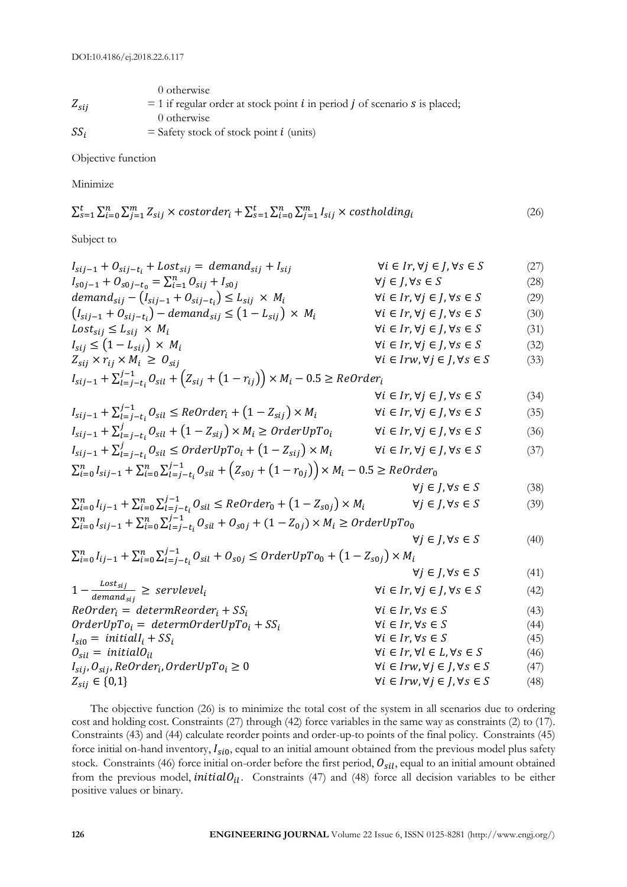|           | 0 otherwise                                                                                       |
|-----------|---------------------------------------------------------------------------------------------------|
| $Z_{sij}$ | $= 1$ if regular order at stock point <i>i</i> in period <i>j</i> of scenario <i>s</i> is placed; |
|           | 0 otherwise                                                                                       |
| $SS_i$    | $=$ Safety stock of stock point <i>i</i> (units)                                                  |

Objective function

Minimize

$$
\sum_{s=1}^{t} \sum_{i=0}^{n} \sum_{j=1}^{m} Z_{sij} \times \text{costorder}_i + \sum_{s=1}^{t} \sum_{i=0}^{n} \sum_{j=1}^{m} I_{sij} \times \text{costholding}_i \tag{26}
$$

Subject to

| $I_{sij-1} + O_{sij-t_i} + Lost_{sij} = demand_{sij} + I_{sij}$                                                                   | $\forall i \in Ir, \forall j \in J, \forall s \in S$  | (27) |
|-----------------------------------------------------------------------------------------------------------------------------------|-------------------------------------------------------|------|
| $I_{s0j-1} + O_{s0j-t_0} = \sum_{i=1}^{n} O_{sij} + I_{s0j}$                                                                      | $\forall j \in J, \forall s \in S$                    | (28) |
| demand <sub>sij</sub> – $(I_{sij-1} + O_{sij-t_i}) \leq L_{sij} \times M_i$                                                       | $\forall i \in Ir, \forall j \in J, \forall s \in S$  | (29) |
| $(I_{sij-1} + O_{sij-t_i}) - demand_{sij} \leq (1 - L_{sij}) \times M_i$                                                          | $\forall i \in Ir, \forall j \in J, \forall s \in S$  | (30) |
| $Loss_{sij} \leq L_{sij} \times M_i$                                                                                              | $\forall i \in Ir, \forall j \in J, \forall s \in S$  | (31) |
| $I_{sij} \leq (1 - L_{sij}) \times M_i$                                                                                           | $\forall i \in Ir, \forall j \in J, \forall s \in S$  | (32) |
| $Z_{sij} \times r_{ij} \times M_i \geq O_{sij}$                                                                                   | $\forall i \in Irw, \forall j \in J, \forall s \in S$ | (33) |
| $I_{sij-1} + \sum_{l=j-t_i}^{j-1} O_{sil} + (Z_{sij} + (1-r_{ij})) \times M_i - 0.5 \geq ReOrder_i$                               |                                                       |      |
|                                                                                                                                   | $\forall i \in Ir, \forall j \in J, \forall s \in S$  | (34) |
| $I_{sij-1} + \sum_{l=j-t_i}^{j-1} \mathcal{O}_{sil} \leq ReOrder_i + (1 - Z_{sij}) \times M_i$                                    | $\forall i \in Ir, \forall j \in J, \forall s \in S$  | (35) |
| $I_{sij-1} + \sum_{l=j-t_i}^{j} O_{sil} + (1 - Z_{sij}) \times M_i \geq OrderUpTo_i$                                              | $\forall i \in Ir, \forall j \in J, \forall s \in S$  | (36) |
| $I_{sij-1} + \sum_{l=j-t_i}^{j} O_{sil} \leq OrderUpTo_i + (1 - Z_{sij}) \times M_i$                                              | $\forall i \in Ir, \forall j \in J, \forall s \in S$  | (37) |
| $\sum_{i=0}^{n} I_{sij-1} + \sum_{i=0}^{n} \sum_{l=j-t_i}^{j-1} O_{sil} + (Z_{s0j} + (1-r_{0j})) \times M_i - 0.5 \geq ReOrder_0$ |                                                       |      |
|                                                                                                                                   | $\forall j \in J, \forall s \in S$                    | (38) |
| $\sum_{i=0}^{n} I_{ij-1} + \sum_{i=0}^{n} \sum_{l=j-t_i}^{j-1} O_{sil} \leq ReOrder_0 + (1 - Z_{soj}) \times M_i$                 | $\forall j \in J, \forall s \in S$                    | (39) |
| $\sum_{i=0}^{n} I_{sij-1} + \sum_{i=0}^{n} \sum_{l=j-t_i}^{j-1} O_{sil} + O_{s0j} + (1 - Z_{0j}) \times M_i \geq OrderUpTo_0$     |                                                       |      |
|                                                                                                                                   | $\forall j \in J, \forall s \in S$                    | (40) |
| $\sum_{i=0}^{n} I_{ij-1} + \sum_{i=0}^{n} \sum_{l=j-t_i}^{j-1} O_{sil} + O_{soj} \leq OrderUpTo_0 + (1 - Z_{soj}) \times M_i$     |                                                       |      |
|                                                                                                                                   | $\forall j \in J, \forall s \in S$                    | (41) |
| $1-\frac{Loss_{sij}}{demand_{sij}} \geq servletvel_i$                                                                             | $\forall i \in Ir, \forall j \in J, \forall s \in S$  | (42) |
| $ReOrder_i = determReorder_i + SS_i$                                                                                              | $\forall i \in Ir, \forall s \in S$                   | (43) |
| $OrderUpTo_i = determOrderUpTo_i + SS_i$                                                                                          | $\forall i \in Ir, \forall s \in S$                   | (44) |
| $I_{\rm si0} = initialI_i + SS_i$                                                                                                 | $\forall i \in Ir, \forall s \in S$                   | (45) |
| $O_{sil} = initialO_{il}$                                                                                                         | $\forall i \in Ir, \forall l \in L, \forall s \in S$  | (46) |
| $I_{sij}$ , $O_{sij}$ , ReOrder <sub>i</sub> , OrderUpTo <sub>i</sub> $\geq 0$                                                    | $\forall i \in Irw, \forall j \in J, \forall s \in S$ | (47) |
| $Z_{sij} \in \{0,1\}$                                                                                                             | $\forall i \in Irw, \forall j \in J, \forall s \in S$ | (48) |

The objective function (26) is to minimize the total cost of the system in all scenarios due to ordering cost and holding cost. Constraints (27) through (42) force variables in the same way as constraints (2) to (17). Constraints (43) and (44) calculate reorder points and order-up-to points of the final policy. Constraints (45) force initial on-hand inventory,  $I_{s0}$ , equal to an initial amount obtained from the previous model plus safety stock. Constraints (46) force initial on-order before the first period,  $O_{sil}$ , equal to an initial amount obtained from the previous model, *initialO<sub>il</sub>*. Constraints (47) and (48) force all decision variables to be either positive values or binary.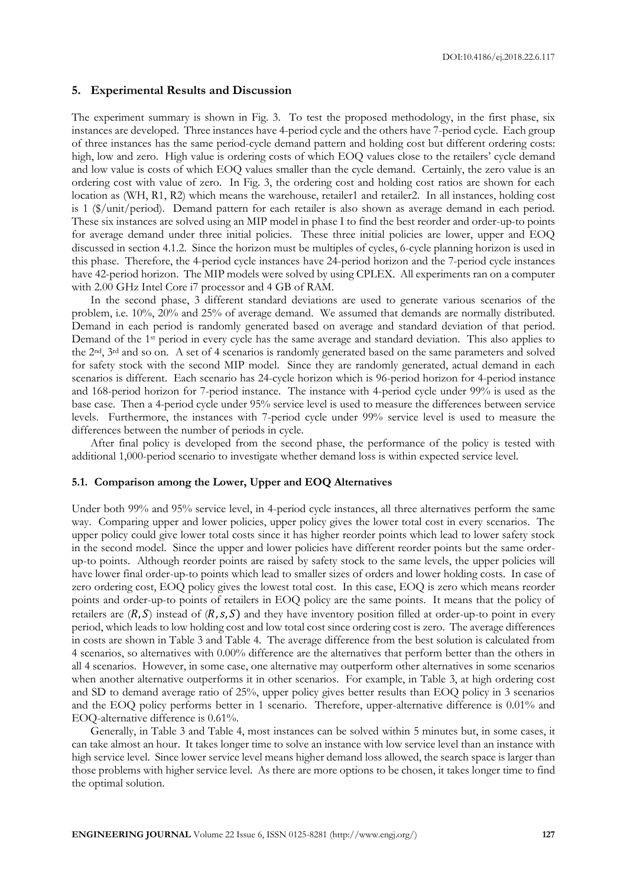### **5. Experimental Results and Discussion**

The experiment summary is shown in Fig. 3. To test the proposed methodology, in the first phase, six instances are developed. Three instances have 4-period cycle and the others have 7-period cycle. Each group of three instances has the same period-cycle demand pattern and holding cost but different ordering costs: high, low and zero. High value is ordering costs of which EOQ values close to the retailers' cycle demand and low value is costs of which EOQ values smaller than the cycle demand. Certainly, the zero value is an ordering cost with value of zero. In Fig. 3, the ordering cost and holding cost ratios are shown for each location as (WH, R1, R2) which means the warehouse, retailer1 and retailer2. In all instances, holding cost is 1 (\$/unit/period). Demand pattern for each retailer is also shown as average demand in each period. These six instances are solved using an MIP model in phase I to find the best reorder and order-up-to points for average demand under three initial policies. These three initial policies are lower, upper and EOQ discussed in section 4.1.2. Since the horizon must be multiples of cycles, 6-cycle planning horizon is used in this phase. Therefore, the 4-period cycle instances have 24-period horizon and the 7-period cycle instances have 42-period horizon. The MIP models were solved by using CPLEX. All experiments ran on a computer with 2.00 GHz Intel Core i7 processor and 4 GB of RAM.

In the second phase, 3 different standard deviations are used to generate various scenarios of the problem, i.e. 10%, 20% and 25% of average demand. We assumed that demands are normally distributed. Demand in each period is randomly generated based on average and standard deviation of that period. Demand of the 1<sup>st</sup> period in every cycle has the same average and standard deviation. This also applies to the 2nd, 3rd and so on. A set of 4 scenarios is randomly generated based on the same parameters and solved for safety stock with the second MIP model. Since they are randomly generated, actual demand in each scenarios is different. Each scenario has 24-cycle horizon which is 96-period horizon for 4-period instance and 168-period horizon for 7-period instance. The instance with 4-period cycle under 99% is used as the base case. Then a 4-period cycle under 95% service level is used to measure the differences between service levels. Furthermore, the instances with 7-period cycle under 99% service level is used to measure the differences between the number of periods in cycle.

After final policy is developed from the second phase, the performance of the policy is tested with additional 1,000-period scenario to investigate whether demand loss is within expected service level.

# **5.1. Comparison among the Lower, Upper and EOQ Alternatives**

Under both 99% and 95% service level, in 4-period cycle instances, all three alternatives perform the same way. Comparing upper and lower policies, upper policy gives the lower total cost in every scenarios. The upper policy could give lower total costs since it has higher reorder points which lead to lower safety stock in the second model. Since the upper and lower policies have different reorder points but the same orderup-to points. Although reorder points are raised by safety stock to the same levels, the upper policies will have lower final order-up-to points which lead to smaller sizes of orders and lower holding costs. In case of zero ordering cost, EOQ policy gives the lowest total cost. In this case, EOQ is zero which means reorder points and order-up-to points of retailers in EOQ policy are the same points. It means that the policy of retailers are  $(R, S)$  instead of  $(R, s, S)$  and they have inventory position filled at order-up-to point in every period, which leads to low holding cost and low total cost since ordering cost is zero. The average differences in costs are shown in Table 3 and Table 4. The average difference from the best solution is calculated from 4 scenarios, so alternatives with 0.00% difference are the alternatives that perform better than the others in all 4 scenarios. However, in some case, one alternative may outperform other alternatives in some scenarios when another alternative outperforms it in other scenarios. For example, in Table 3, at high ordering cost and SD to demand average ratio of 25%, upper policy gives better results than EOQ policy in 3 scenarios and the EOQ policy performs better in 1 scenario. Therefore, upper-alternative difference is 0.01% and EOQ-alternative difference is 0.61%.

Generally, in Table 3 and Table 4, most instances can be solved within 5 minutes but, in some cases, it can take almost an hour. It takes longer time to solve an instance with low service level than an instance with high service level. Since lower service level means higher demand loss allowed, the search space is larger than those problems with higher service level. As there are more options to be chosen, it takes longer time to find the optimal solution.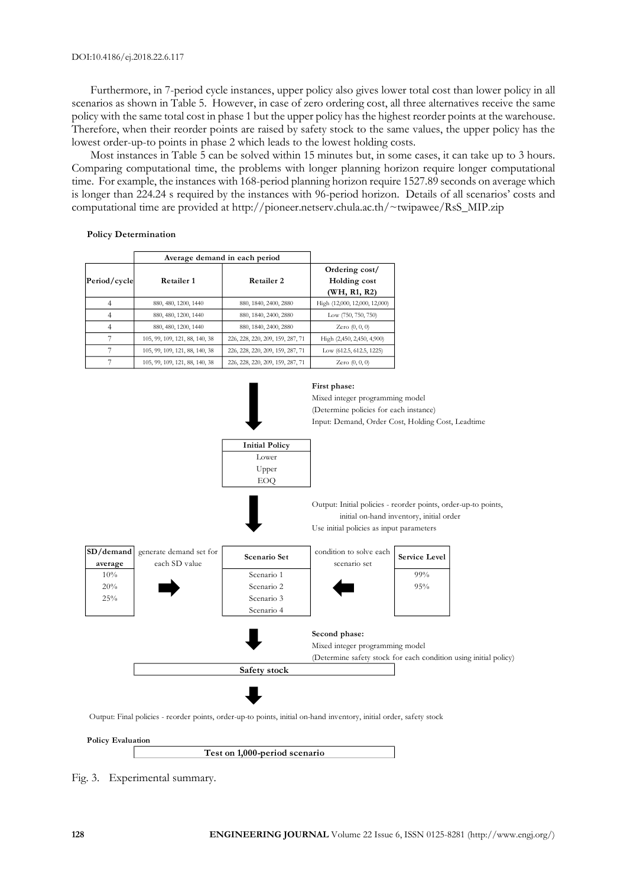Furthermore, in 7-period cycle instances, upper policy also gives lower total cost than lower policy in all scenarios as shown in Table 5. However, in case of zero ordering cost, all three alternatives receive the same policy with the same total cost in phase 1 but the upper policy has the highest reorder points at the warehouse. Therefore, when their reorder points are raised by safety stock to the same values, the upper policy has the lowest order-up-to points in phase 2 which leads to the lowest holding costs.

Most instances in Table 5 can be solved within 15 minutes but, in some cases, it can take up to 3 hours. Comparing computational time, the problems with longer planning horizon require longer computational time. For example, the instances with 168-period planning horizon require 1527.89 seconds on average which is longer than 224.24 s required by the instances with 96-period horizon. Details of all scenarios' costs and computational time are provided at http://pioneer.netserv.chula.ac.th/~twipawee/RsS\_MIP.zip

#### **Policy Determination**

| <b>Policy Determination</b><br>Average demand in each period |                                |                                  |                                                |  |  |  |  |  |
|--------------------------------------------------------------|--------------------------------|----------------------------------|------------------------------------------------|--|--|--|--|--|
| Period/cycle                                                 | Retailer 1                     | Retailer 2                       | Ordering cost/<br>Holding cost<br>(WH, R1, R2) |  |  |  |  |  |
| 4                                                            | 880, 480, 1200, 1440           | 880, 1840, 2400, 2880            | High (12,000, 12,000, 12,000)                  |  |  |  |  |  |
| $\overline{4}$                                               | 880, 480, 1200, 1440           | 880, 1840, 2400, 2880            | Low (750, 750, 750)                            |  |  |  |  |  |
| $\overline{4}$                                               | 880, 480, 1200, 1440           | 880, 1840, 2400, 2880            | Zero $(0, 0, 0)$                               |  |  |  |  |  |
| 7                                                            | 105, 99, 109, 121, 88, 140, 38 | 226, 228, 220, 209, 159, 287, 71 | High (2,450, 2,450, 4,900)                     |  |  |  |  |  |
| 7                                                            | 105, 99, 109, 121, 88, 140, 38 | 226, 228, 220, 209, 159, 287, 71 | Low (612.5, 612.5, 1225)                       |  |  |  |  |  |
| 7                                                            | 105, 99, 109, 121, 88, 140, 38 | 226, 228, 220, 209, 159, 287, 71 | Zero $(0, 0, 0)$                               |  |  |  |  |  |



Fig. 3. Experimental summary.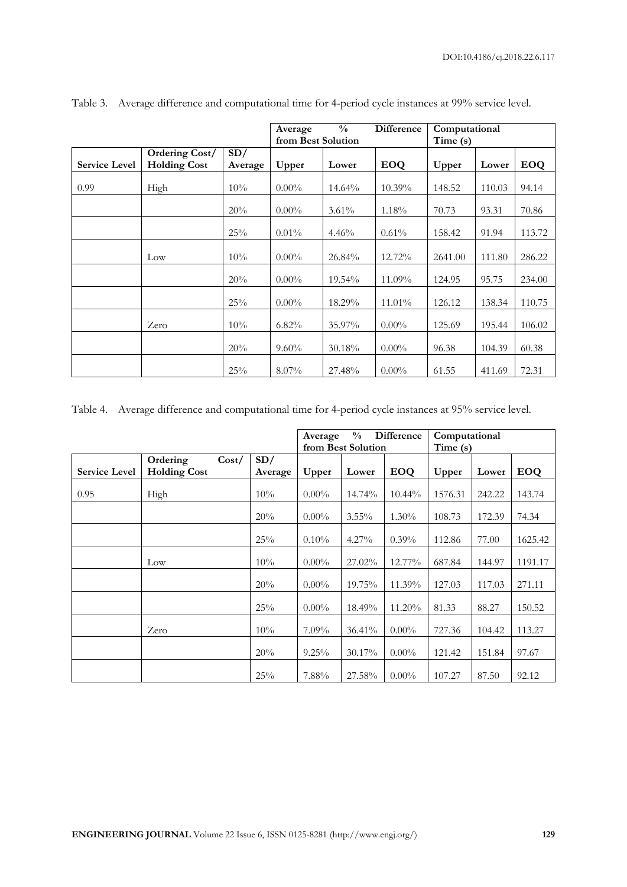|                      |                                       |                | Average<br>from Best Solution | $\frac{0}{0}$ | Difference | Computational<br>Time (s) |        |            |
|----------------------|---------------------------------------|----------------|-------------------------------|---------------|------------|---------------------------|--------|------------|
| <b>Service Level</b> | Ordering Cost/<br><b>Holding Cost</b> | SD/<br>Average | Upper                         | Lower         | <b>EOQ</b> | Upper                     | Lower  | <b>EOQ</b> |
| 0.99                 | High                                  | 10%            | $0.00\%$                      | $14.64\%$     | 10.39%     | 148.52                    | 110.03 | 94.14      |
|                      |                                       | 20%            | $0.00\%$                      | $3.61\%$      | 1.18%      | 70.73                     | 93.31  | 70.86      |
|                      |                                       | 25%            | $0.01\%$                      | 4.46%         | $0.61\%$   | 158.42                    | 91.94  | 113.72     |
|                      | $_{\text{Low}}$                       | 10%            | $0.00\%$                      | 26.84%        | 12.72%     | 2641.00                   | 111.80 | 286.22     |
|                      |                                       | 20%            | $0.00\%$                      | 19.54%        | 11.09%     | 124.95                    | 95.75  | 234.00     |
|                      |                                       | 25%            | $0.00\%$                      | 18.29%        | 11.01%     | 126.12                    | 138.34 | 110.75     |
|                      | Zero                                  | 10%            | $6.82\%$                      | 35.97%        | $0.00\%$   | 125.69                    | 195.44 | 106.02     |
|                      |                                       | 20%            | $9.60\%$                      | 30.18%        | $0.00\%$   | 96.38                     | 104.39 | 60.38      |
|                      |                                       | 25%            | $8.07\%$                      | 27.48%        | $0.00\%$   | 61.55                     | 411.69 | 72.31      |

Table 3. Average difference and computational time for 4-period cycle instances at 99% service level.

Table 4. Average difference and computational time for 4-period cycle instances at 95% service level.

|                      |                                          |                | $\frac{0}{0}$<br>Difference<br>Average<br>from Best Solution |          |            | Computational<br>Time (s) |        |            |
|----------------------|------------------------------------------|----------------|--------------------------------------------------------------|----------|------------|---------------------------|--------|------------|
| <b>Service Level</b> | Ordering<br>Cost/<br><b>Holding Cost</b> | SD/<br>Average | Upper                                                        | Lower    | <b>EOQ</b> | Upper                     | Lower  | <b>EOQ</b> |
| 0.95                 | High                                     | 10%            | $0.00\%$                                                     | 14.74%   | 10.44%     | 1576.31                   | 242.22 | 143.74     |
|                      |                                          | 20%            | $0.00\%$                                                     | $3.55\%$ | $1.30\%$   | 108.73                    | 172.39 | 74.34      |
|                      |                                          | 25%            | $0.10\%$                                                     | $4.27\%$ | $0.39\%$   | 112.86                    | 77.00  | 1625.42    |
|                      | Low                                      | 10%            | $0.00\%$                                                     | 27.02%   | 12.77%     | 687.84                    | 144.97 | 1191.17    |
|                      |                                          | 20%            | $0.00\%$                                                     | 19.75%   | 11.39%     | 127.03                    | 117.03 | 271.11     |
|                      |                                          | 25%            | $0.00\%$                                                     | 18.49%   | 11.20%     | 81.33                     | 88.27  | 150.52     |
|                      | Zero                                     | 10%            | $7.09\%$                                                     | 36.41%   | $0.00\%$   | 727.36                    | 104.42 | 113.27     |
|                      |                                          | 20%            | $9.25\%$                                                     | 30.17%   | $0.00\%$   | 121.42                    | 151.84 | 97.67      |
|                      |                                          | 25%            | 7.88%                                                        | 27.58%   | $0.00\%$   | 107.27                    | 87.50  | 92.12      |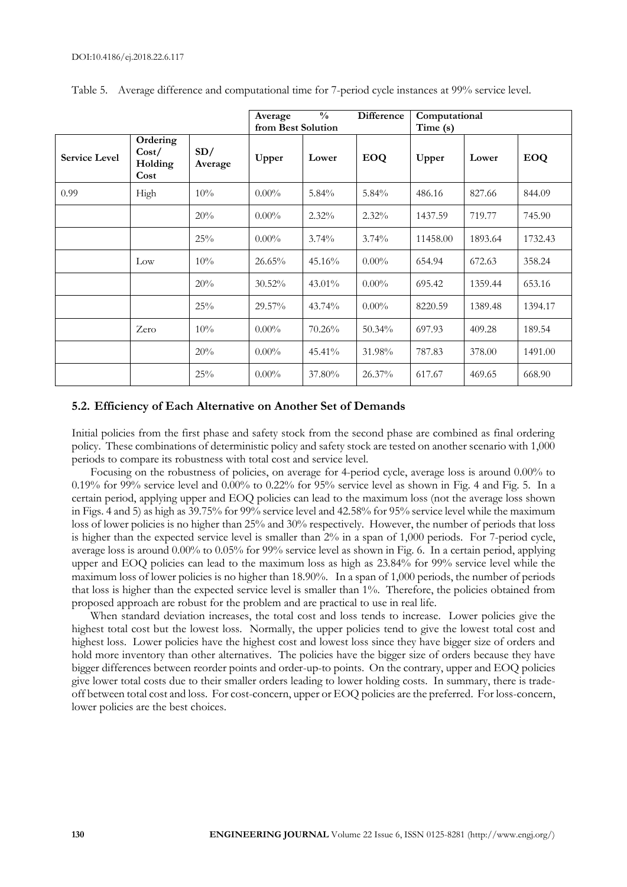|                      |                                      |                | <b>Difference</b><br>$\frac{0}{0}$<br>Average<br>from Best Solution |           |            | Computational<br>Time (s) |         |            |  |
|----------------------|--------------------------------------|----------------|---------------------------------------------------------------------|-----------|------------|---------------------------|---------|------------|--|
| <b>Service Level</b> | Ordering<br>Cost/<br>Holding<br>Cost | SD/<br>Average | Upper                                                               | Lower     | <b>EOQ</b> | Upper                     | Lower   | <b>EOQ</b> |  |
| 0.99                 | High                                 | 10%            | $0.00\%$                                                            | 5.84%     | 5.84%      | 486.16                    | 827.66  | 844.09     |  |
|                      |                                      | 20%            | $0.00\%$                                                            | $2.32\%$  | $2.32\%$   | 1437.59                   | 719.77  | 745.90     |  |
|                      |                                      | 25%            | $0.00\%$                                                            | $3.74\%$  | $3.74\%$   | 11458.00                  | 1893.64 | 1732.43    |  |
|                      | Low                                  | 10%            | 26.65%                                                              | 45.16%    | $0.00\%$   | 654.94                    | 672.63  | 358.24     |  |
|                      |                                      | 20%            | $30.52\%$                                                           | $43.01\%$ | $0.00\%$   | 695.42                    | 1359.44 | 653.16     |  |
|                      |                                      | 25%            | 29.57%                                                              | 43.74%    | $0.00\%$   | 8220.59                   | 1389.48 | 1394.17    |  |
|                      | Zero                                 | 10%            | $0.00\%$                                                            | 70.26%    | 50.34%     | 697.93                    | 409.28  | 189.54     |  |
|                      |                                      | 20%            | $0.00\%$                                                            | 45.41%    | 31.98%     | 787.83                    | 378.00  | 1491.00    |  |
|                      |                                      | 25%            | $0.00\%$                                                            | 37.80%    | $26.37\%$  | 617.67                    | 469.65  | 668.90     |  |

Table 5. Average difference and computational time for 7-period cycle instances at 99% service level.

# **5.2. Efficiency of Each Alternative on Another Set of Demands**

Initial policies from the first phase and safety stock from the second phase are combined as final ordering policy. These combinations of deterministic policy and safety stock are tested on another scenario with 1,000 periods to compare its robustness with total cost and service level.

Focusing on the robustness of policies, on average for 4-period cycle, average loss is around 0.00% to 0.19% for 99% service level and 0.00% to 0.22% for 95% service level as shown in Fig. 4 and Fig. 5. In a certain period, applying upper and EOQ policies can lead to the maximum loss (not the average loss shown in Figs. 4 and 5) as high as 39.75% for 99% service level and 42.58% for 95% service level while the maximum loss of lower policies is no higher than 25% and 30% respectively. However, the number of periods that loss is higher than the expected service level is smaller than 2% in a span of 1,000 periods. For 7-period cycle, average loss is around 0.00% to 0.05% for 99% service level as shown in Fig. 6. In a certain period, applying upper and EOQ policies can lead to the maximum loss as high as 23.84% for 99% service level while the maximum loss of lower policies is no higher than 18.90%. In a span of 1,000 periods, the number of periods that loss is higher than the expected service level is smaller than 1%. Therefore, the policies obtained from proposed approach are robust for the problem and are practical to use in real life.

When standard deviation increases, the total cost and loss tends to increase. Lower policies give the highest total cost but the lowest loss. Normally, the upper policies tend to give the lowest total cost and highest loss. Lower policies have the highest cost and lowest loss since they have bigger size of orders and hold more inventory than other alternatives. The policies have the bigger size of orders because they have bigger differences between reorder points and order-up-to points. On the contrary, upper and EOQ policies give lower total costs due to their smaller orders leading to lower holding costs. In summary, there is tradeoff between total cost and loss. For cost-concern, upper or EOQ policies are the preferred. For loss-concern, lower policies are the best choices.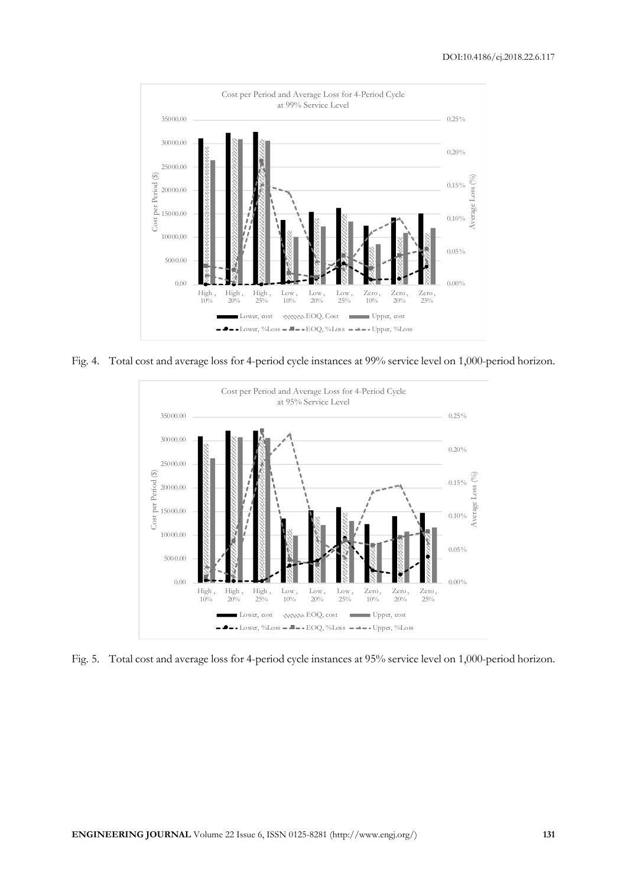

Fig. 4. Total cost and average loss for 4-period cycle instances at 99% service level on 1,000-period horizon.



Fig. 5. Total cost and average loss for 4-period cycle instances at 95% service level on 1,000-period horizon.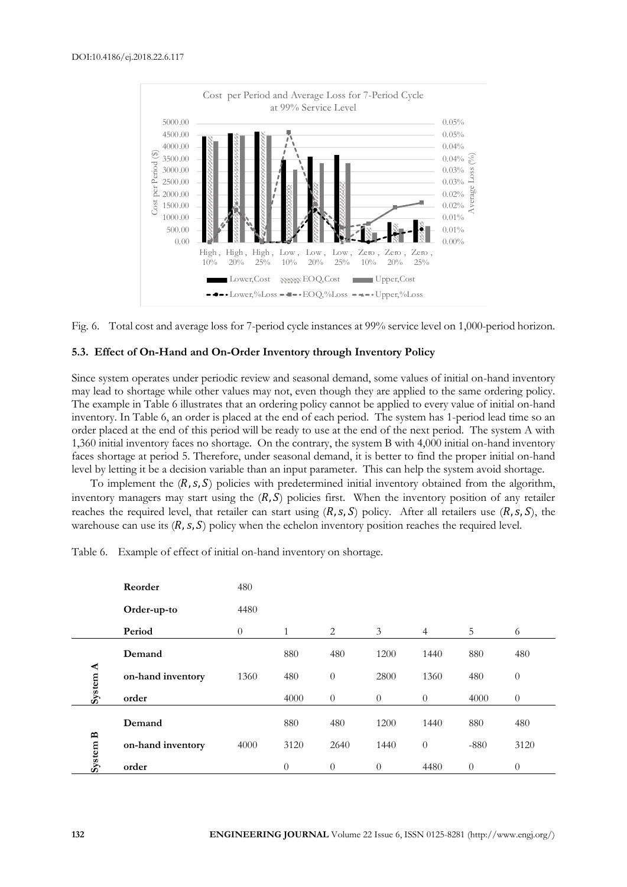



#### **5.3. Effect of On-Hand and On-Order Inventory through Inventory Policy**

Since system operates under periodic review and seasonal demand, some values of initial on-hand inventory may lead to shortage while other values may not, even though they are applied to the same ordering policy. The example in Table 6 illustrates that an ordering policy cannot be applied to every value of initial on-hand inventory. In Table 6, an order is placed at the end of each period. The system has 1-period lead time so an order placed at the end of this period will be ready to use at the end of the next period. The system A with 1,360 initial inventory faces no shortage. On the contrary, the system B with 4,000 initial on-hand inventory faces shortage at period 5. Therefore, under seasonal demand, it is better to find the proper initial on-hand level by letting it be a decision variable than an input parameter. This can help the system avoid shortage.

To implement the  $(R, s, S)$  policies with predetermined initial inventory obtained from the algorithm, inventory managers may start using the  $(R, S)$  policies first. When the inventory position of any retailer reaches the required level, that retailer can start using  $(R, s, S)$  policy. After all retailers use  $(R, s, S)$ , the warehouse can use its  $(R, s, S)$  policy when the echelon inventory position reaches the required level.

|                        | Reorder           | 480      |          |                  |          |                |          |                  |
|------------------------|-------------------|----------|----------|------------------|----------|----------------|----------|------------------|
|                        | Order-up-to       | 4480     |          |                  |          |                |          |                  |
|                        | Period            | $\theta$ | 1        | 2                | 3        | $\overline{4}$ | 5        | 6                |
| ⋖<br>System.           | Demand            |          | 880      | 480              | 1200     | 1440           | 880      | 480              |
|                        | on-hand inventory | 1360     | 480      | $\overline{0}$   | 2800     | 1360           | 480      | $\boldsymbol{0}$ |
|                        | order             |          | 4000     | $\boldsymbol{0}$ | $\theta$ | $\theta$       | 4000     | $\theta$         |
| $\mathbf{p}$<br>System | Demand            |          | 880      | 480              | 1200     | 1440           | 880      | 480              |
|                        | on-hand inventory | 4000     | 3120     | 2640             | 1440     | $\overline{0}$ | $-880$   | 3120             |
|                        | order             |          | $\theta$ | $\overline{0}$   | $\theta$ | 4480           | $\theta$ | $\theta$         |

Table 6. Example of effect of initial on-hand inventory on shortage.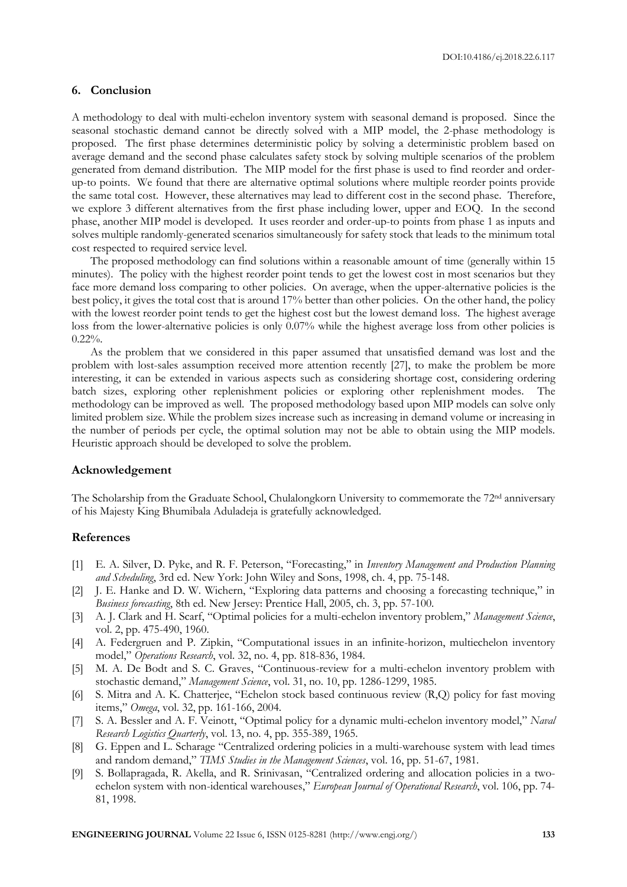# **6. Conclusion**

A methodology to deal with multi-echelon inventory system with seasonal demand is proposed. Since the seasonal stochastic demand cannot be directly solved with a MIP model, the 2-phase methodology is proposed. The first phase determines deterministic policy by solving a deterministic problem based on average demand and the second phase calculates safety stock by solving multiple scenarios of the problem generated from demand distribution. The MIP model for the first phase is used to find reorder and orderup-to points. We found that there are alternative optimal solutions where multiple reorder points provide the same total cost. However, these alternatives may lead to different cost in the second phase. Therefore, we explore 3 different alternatives from the first phase including lower, upper and EOQ. In the second phase, another MIP model is developed. It uses reorder and order-up-to points from phase 1 as inputs and solves multiple randomly-generated scenarios simultaneously for safety stock that leads to the minimum total cost respected to required service level.

The proposed methodology can find solutions within a reasonable amount of time (generally within 15 minutes). The policy with the highest reorder point tends to get the lowest cost in most scenarios but they face more demand loss comparing to other policies. On average, when the upper-alternative policies is the best policy, it gives the total cost that is around 17% better than other policies. On the other hand, the policy with the lowest reorder point tends to get the highest cost but the lowest demand loss. The highest average loss from the lower-alternative policies is only 0.07% while the highest average loss from other policies is 0.22%.

As the problem that we considered in this paper assumed that unsatisfied demand was lost and the problem with lost-sales assumption received more attention recently [27], to make the problem be more interesting, it can be extended in various aspects such as considering shortage cost, considering ordering batch sizes, exploring other replenishment policies or exploring other replenishment modes. The methodology can be improved as well. The proposed methodology based upon MIP models can solve only limited problem size. While the problem sizes increase such as increasing in demand volume or increasing in the number of periods per cycle, the optimal solution may not be able to obtain using the MIP models. Heuristic approach should be developed to solve the problem.

#### **Acknowledgement**

The Scholarship from the Graduate School, Chulalongkorn University to commemorate the 72<sup>nd</sup> anniversary of his Majesty King Bhumibala Aduladeja is gratefully acknowledged.

#### **References**

- [1] E. A. Silver, D. Pyke, and R. F. Peterson, "Forecasting," in *Inventory Management and Production Planning and Scheduling*, 3rd ed. New York: John Wiley and Sons, 1998, ch. 4, pp. 75-148.
- [2] J. E. Hanke and D. W. Wichern, "Exploring data patterns and choosing a forecasting technique," in *Business forecasting*, 8th ed. New Jersey: Prentice Hall, 2005, ch. 3, pp. 57-100.
- [3] A. J. Clark and H. Scarf, "Optimal policies for a multi-echelon inventory problem," *Management Science*, vol. 2, pp. 475-490, 1960.
- [4] A. Federgruen and P. Zipkin, "Computational issues in an infinite-horizon, multiechelon inventory model," *Operations Research*, vol. 32, no. 4, pp. 818-836, 1984.
- [5] M. A. De Bodt and S. C. Graves, "Continuous-review for a multi-echelon inventory problem with stochastic demand," *Management Science*, vol. 31, no. 10, pp. 1286-1299, 1985.
- [6] S. Mitra and A. K. Chatterjee, "Echelon stock based continuous review (R,Q) policy for fast moving items," *Omega*, vol. 32, pp. 161-166, 2004.
- [7] S. A. Bessler and A. F. Veinott, "Optimal policy for a dynamic multi-echelon inventory model," *Naval Research Logistics Quarterly*, vol. 13, no. 4, pp. 355-389, 1965.
- [8] G. Eppen and L. Scharage "Centralized ordering policies in a multi-warehouse system with lead times and random demand," *TIMS Studies in the Management Sciences*, vol. 16, pp. 51-67, 1981.
- [9] S. Bollapragada, R. Akella, and R. Srinivasan, "Centralized ordering and allocation policies in a twoechelon system with non-identical warehouses," *European Journal of Operational Research*, vol. 106, pp. 74- 81, 1998.